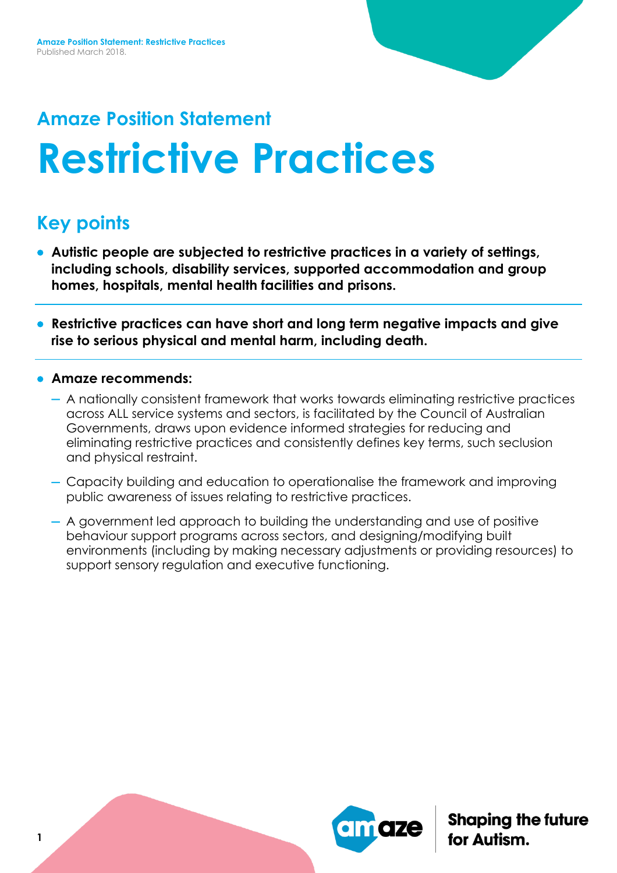# **Amaze Position Statement Restrictive Practices**

## **Key points**

- **Autistic people are subjected to restrictive practices in a variety of settings, including schools, disability services, supported accommodation and group homes, hospitals, mental health facilities and prisons.**
- **Restrictive practices can have short and long term negative impacts and give rise to serious physical and mental harm, including death.**
- **Amaze recommends:**
	- A nationally consistent framework that works towards eliminating restrictive practices across ALL service systems and sectors, is facilitated by the Council of Australian Governments, draws upon evidence informed strategies for reducing and eliminating restrictive practices and consistently defines key terms, such seclusion and physical restraint.
	- Capacity building and education to operationalise the framework and improving public awareness of issues relating to restrictive practices.
	- A government led approach to building the understanding and use of positive behaviour support programs across sectors, and designing/modifying built environments (including by making necessary adjustments or providing resources) to support sensory regulation and executive functioning.

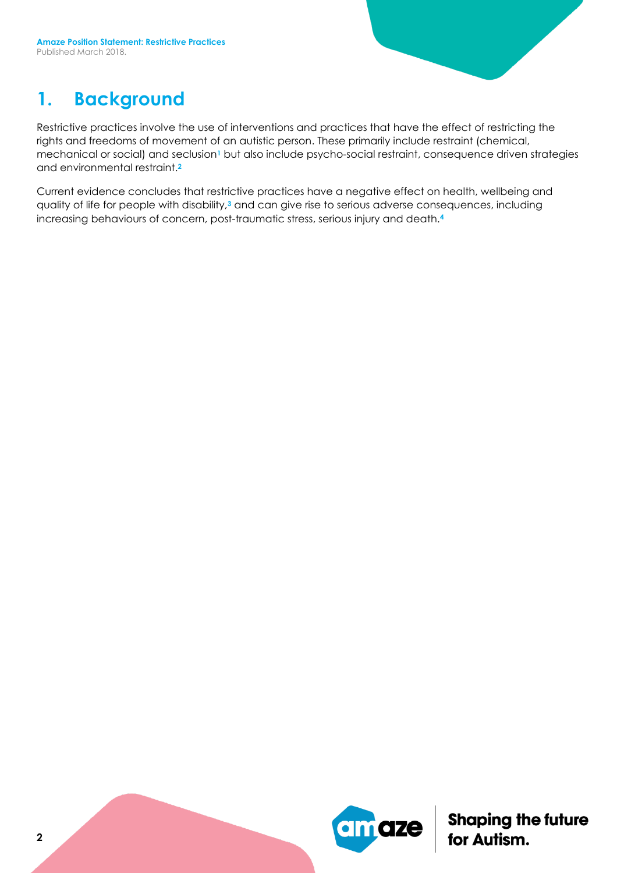### **1. Background**

Restrictive practices involve the use of interventions and practices that have the effect of restricting the rights and freedoms of movement of an autistic person. These primarily include restraint (chemical, mechanical or social) and seclusion**<sup>1</sup>** but also include psycho-social restraint, consequence driven strategies and environmental restraint.**<sup>2</sup>**

Current evidence concludes that restrictive practices have a negative effect on health, wellbeing and quality of life for people with disability,**<sup>3</sup>** and can give rise to serious adverse consequences, including increasing behaviours of concern, post-traumatic stress, serious injury and death.**<sup>4</sup>**

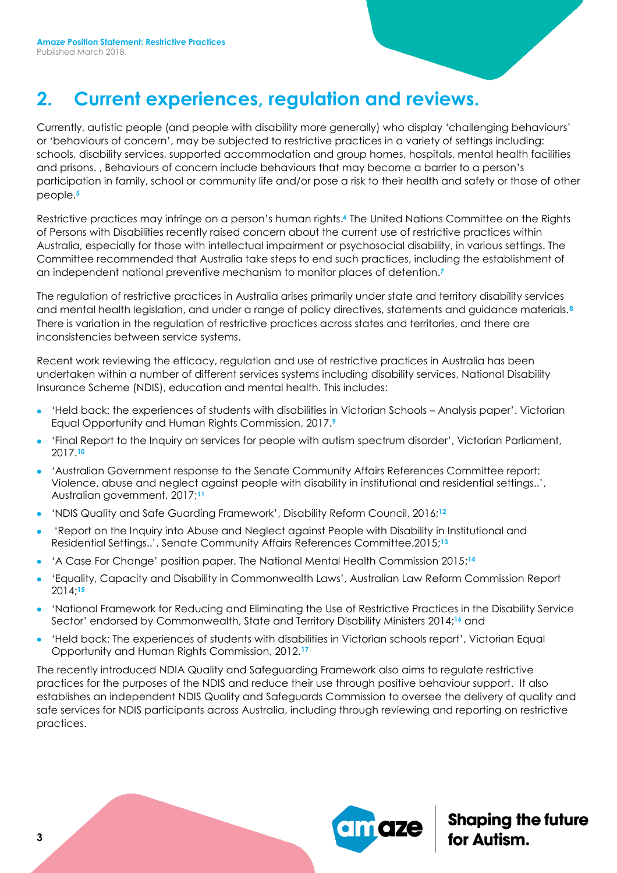### **2. Current experiences, regulation and reviews.**

Currently, autistic people (and people with disability more generally) who display 'challenging behaviours' or 'behaviours of concern', may be subjected to restrictive practices in a variety of settings including: schools, disability services, supported accommodation and group homes, hospitals, mental health facilities and prisons. , Behaviours of concern include behaviours that may become a barrier to a person's participation in family, school or community life and/or pose a risk to their health and safety or those of other people. **5**

Restrictive practices may infringe on a person's human rights. **<sup>6</sup>** The United Nations Committee on the Rights of Persons with Disabilities recently raised concern about the current use of restrictive practices within Australia, especially for those with intellectual impairment or psychosocial disability, in various settings. The Committee recommended that Australia take steps to end such practices, including the establishment of an independent national preventive mechanism to monitor places of detention. **7**

The regulation of restrictive practices in Australia arises primarily under state and territory disability services and mental health legislation, and under a range of policy directives, statements and guidance materials.**<sup>8</sup>** There is variation in the regulation of restrictive practices across states and territories, and there are inconsistencies between service systems.

Recent work reviewing the efficacy, regulation and use of restrictive practices in Australia has been undertaken within a number of different services systems including disability services, National Disability Insurance Scheme (NDIS), education and mental health. This includes:

- 'Held back: the experiences of students with disabilities in Victorian Schools Analysis paper'. Victorian Equal Opportunity and Human Rights Commission, 2017.**<sup>9</sup>**
- 'Final Report to the Inquiry on services for people with autism spectrum disorder', Victorian Parliament, 2017.**<sup>10</sup>**
- 'Australian Government response to the Senate Community Affairs References Committee report: Violence, abuse and neglect against people with disability in institutional and residential settings..', Australian government, 2017; **11**
- *'NDIS Quality and Safe Guarding Framework', Disability Reform Council, 2016;<sup>12</sup>*
- 'Report on the Inquiry into Abuse and Neglect against People with Disability in Institutional and Residential Settings..', Senate Community Affairs References Committee,2015; **13**
- 'A Case For Change' position paper, The National Mental Health Commission 2015;<sup>14</sup>
- 'Equality, Capacity and Disability in Commonwealth Laws', Australian Law Reform Commission Report 2014; **15**
- 'National Framework for Reducing and Eliminating the Use of Restrictive Practices in the Disability Service Sector' endorsed by Commonwealth, State and Territory Disability Ministers 2014; **<sup>16</sup>** and
- 'Held back: The experiences of students with disabilities in Victorian schools report', Victorian Equal Opportunity and Human Rights Commission, 2012. **17**

The recently introduced NDIA Quality and Safeguarding Framework also aims to regulate restrictive practices for the purposes of the NDIS and reduce their use through positive behaviour support. It also establishes an independent NDIS Quality and Safeguards Commission to oversee the delivery of quality and safe services for NDIS participants across Australia, including through reviewing and reporting on restrictive practices.

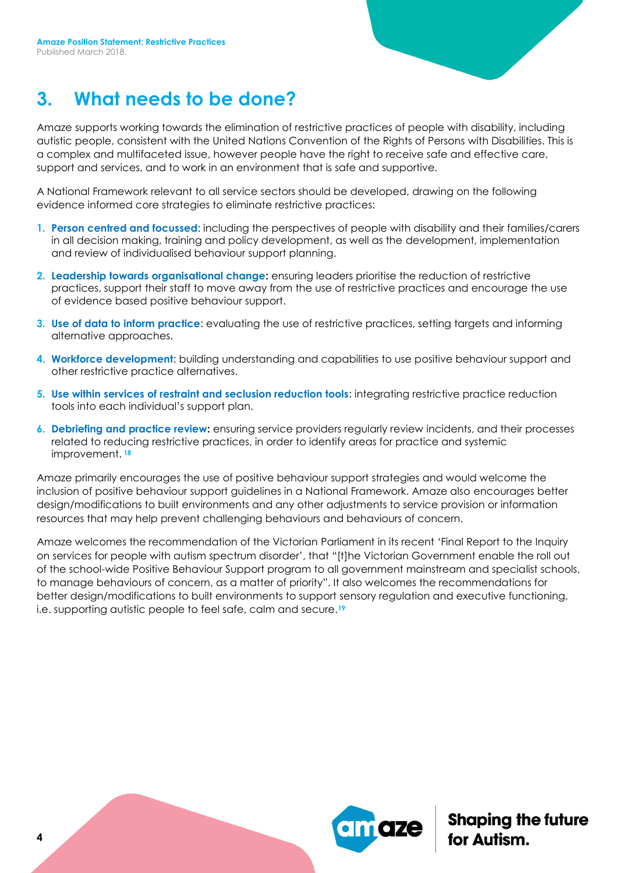# **3. What needs to be done?**

Amaze supports working towards the elimination of restrictive practices of people with disability, including autistic people, consistent with the United Nations Convention of the Rights of Persons with Disabilities. This is a complex and multifaceted issue, however people have the right to receive safe and effective care, support and services, and to work in an environment that is safe and supportive.

A National Framework relevant to all service sectors should be developed, drawing on the following evidence informed core strategies to eliminate restrictive practices:

- **1. Person centred and focussed**: including the perspectives of people with disability and their families/carers in all decision making, training and policy development, as well as the development, implementation and review of individualised behaviour support planning.
- **2. Leadership towards organisational change:** ensuring leaders prioritise the reduction of restrictive practices, support their staff to move away from the use of restrictive practices and encourage the use of evidence based positive behaviour support.
- **3. Use of data to inform practice**: evaluating the use of restrictive practices, setting targets and informing alternative approaches.
- **4. Workforce development**: building understanding and capabilities to use positive behaviour support and other restrictive practice alternatives.
- **5. Use within services of restraint and seclusion reduction tools**: integrating restrictive practice reduction tools into each individual's support plan.
- **6. Debriefing and practice review:** ensuring service providers regularly review incidents, and their processes related to reducing restrictive practices, in order to identify areas for practice and systemic improvement. **<sup>18</sup>**

Amaze primarily encourages the use of positive behaviour support strategies and would welcome the inclusion of positive behaviour support guidelines in a National Framework. Amaze also encourages better design/modifications to built environments and any other adjustments to service provision or information resources that may help prevent challenging behaviours and behaviours of concern.

Amaze welcomes the recommendation of the Victorian Parliament in its recent 'Final Report to the Inquiry on services for people with autism spectrum disorder', that "[t]he Victorian Government enable the roll out of the school-wide Positive Behaviour Support program to all government mainstream and specialist schools, to manage behaviours of concern, as a matter of priority". It also welcomes the recommendations for better design/modifications to built environments to support sensory regulation and executive functioning, i.e. supporting autistic people to feel safe, calm and secure.**19**

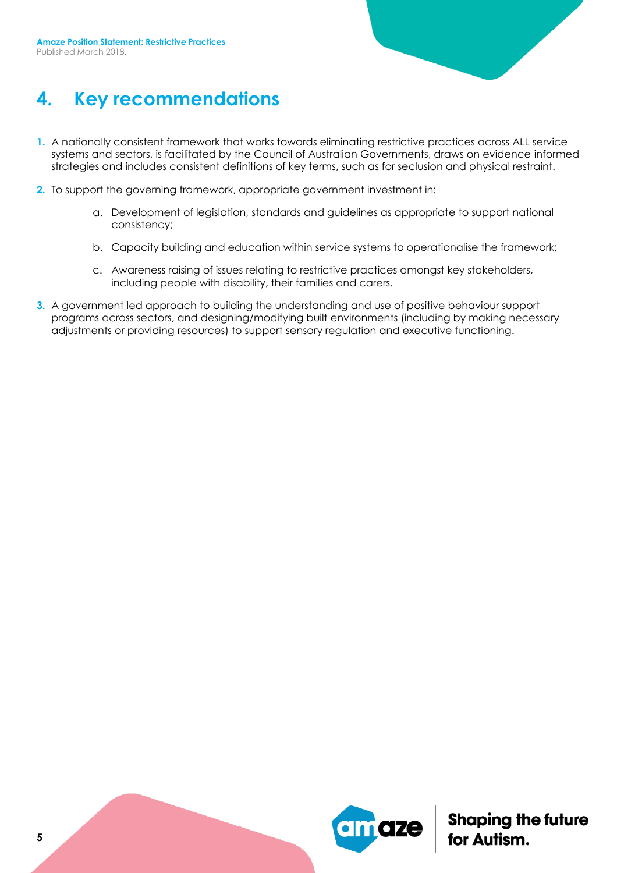

### **4. Key recommendations**

- **1.** A nationally consistent framework that works towards eliminating restrictive practices across ALL service systems and sectors, is facilitated by the Council of Australian Governments, draws on evidence informed strategies and includes consistent definitions of key terms, such as for seclusion and physical restraint.
- **2.** To support the governing framework, appropriate government investment in:
	- a. Development of legislation, standards and guidelines as appropriate to support national consistency;
	- b. Capacity building and education within service systems to operationalise the framework;
	- c. Awareness raising of issues relating to restrictive practices amongst key stakeholders, including people with disability, their families and carers.
- **3.** A government led approach to building the understanding and use of positive behaviour support programs across sectors, and designing/modifying built environments (including by making necessary adjustments or providing resources) to support sensory regulation and executive functioning.

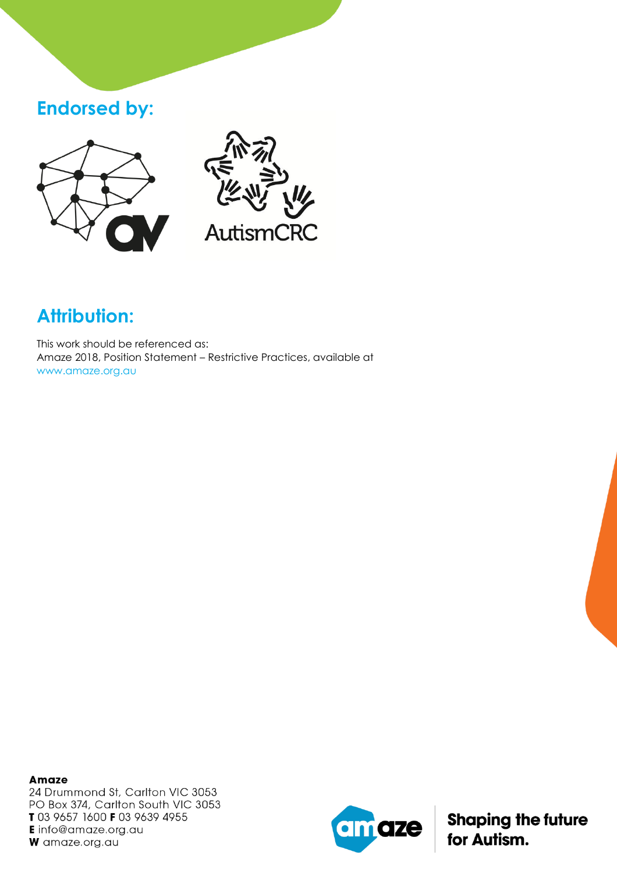### **Endorsed by:**





# **Attribution:**

This work should be referenced as: Amaze 2018, Position Statement – Restrictive Practices, available at www.amaze.org.au

**Amaze** 24 Drummond St, Carlton VIC 3053 PO Box 374, Carlton South VIC 3053 T 03 9657 1600 F 03 9639 4955 **E** info@amaze.org.au W amaze.org.au